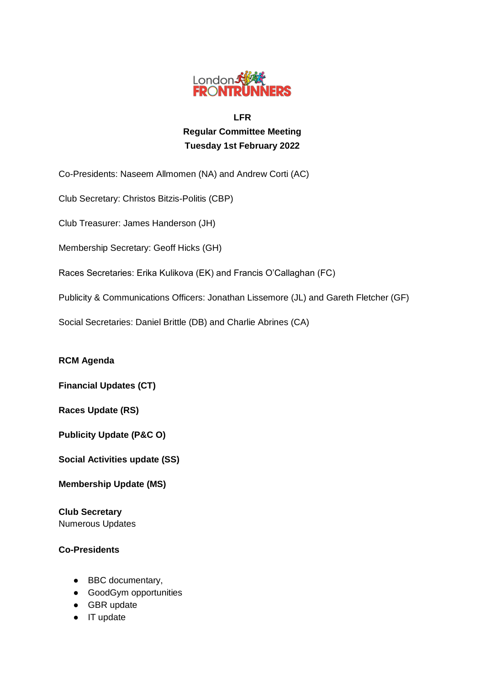

# **LFR Regular Committee Meeting Tuesday 1st February 2022**

Co-Presidents: Naseem Allmomen (NA) and Andrew Corti (AC)

Club Secretary: Christos Bitzis-Politis (CBP)

Club Treasurer: James Handerson (JH)

Membership Secretary: Geoff Hicks (GH)

Races Secretaries: Erika Kulikova (EK) and Francis O'Callaghan (FC)

Publicity & Communications Officers: Jonathan Lissemore (JL) and Gareth Fletcher (GF)

Social Secretaries: Daniel Brittle (DB) and Charlie Abrines (CA)

**RCM Agenda**

**Financial Updates (CT)**

**Races Update (RS)**

**Publicity Update (P&C O)**

**Social Activities update (SS)**

**Membership Update (MS)**

**Club Secretary** Numerous Updates

### **Co-Presidents**

- BBC documentary,
- GoodGym opportunities
- GBR update
- IT update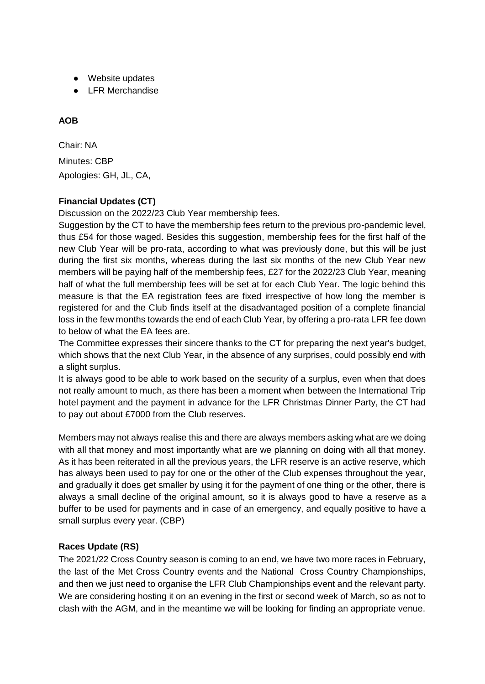- Website updates
- LFR Merchandise

## **AOB**

Chair: NA Minutes: CBP Apologies: GH, JL, CA,

### **Financial Updates (CT)**

Discussion on the 2022/23 Club Year membership fees.

Suggestion by the CT to have the membership fees return to the previous pro-pandemic level, thus £54 for those waged. Besides this suggestion, membership fees for the first half of the new Club Year will be pro-rata, according to what was previously done, but this will be just during the first six months, whereas during the last six months of the new Club Year new members will be paying half of the membership fees, £27 for the 2022/23 Club Year, meaning half of what the full membership fees will be set at for each Club Year. The logic behind this measure is that the EA registration fees are fixed irrespective of how long the member is registered for and the Club finds itself at the disadvantaged position of a complete financial loss in the few months towards the end of each Club Year, by offering a pro-rata LFR fee down to below of what the EA fees are.

The Committee expresses their sincere thanks to the CT for preparing the next year's budget, which shows that the next Club Year, in the absence of any surprises, could possibly end with a slight surplus.

It is always good to be able to work based on the security of a surplus, even when that does not really amount to much, as there has been a moment when between the International Trip hotel payment and the payment in advance for the LFR Christmas Dinner Party, the CT had to pay out about £7000 from the Club reserves.

Members may not always realise this and there are always members asking what are we doing with all that money and most importantly what are we planning on doing with all that money. As it has been reiterated in all the previous years, the LFR reserve is an active reserve, which has always been used to pay for one or the other of the Club expenses throughout the year, and gradually it does get smaller by using it for the payment of one thing or the other, there is always a small decline of the original amount, so it is always good to have a reserve as a buffer to be used for payments and in case of an emergency, and equally positive to have a small surplus every year. (CBP)

### **Races Update (RS)**

The 2021/22 Cross Country season is coming to an end, we have two more races in February, the last of the Met Cross Country events and the National Cross Country Championships, and then we just need to organise the LFR Club Championships event and the relevant party. We are considering hosting it on an evening in the first or second week of March, so as not to clash with the AGM, and in the meantime we will be looking for finding an appropriate venue.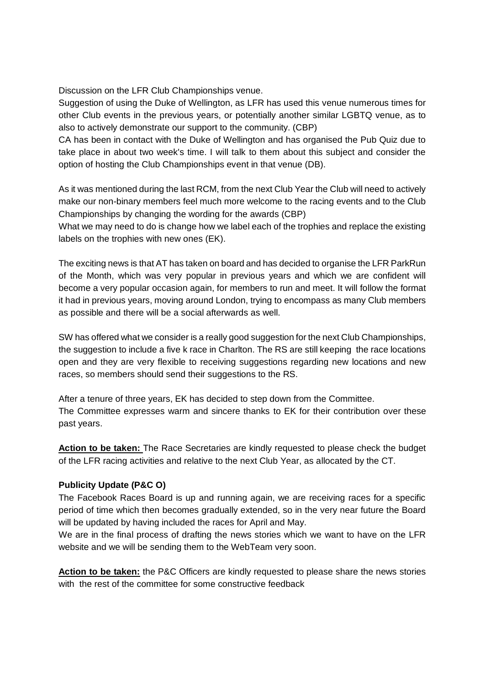Discussion on the LFR Club Championships venue.

Suggestion of using the Duke of Wellington, as LFR has used this venue numerous times for other Club events in the previous years, or potentially another similar LGBTQ venue, as to also to actively demonstrate our support to the community. (CBP)

CA has been in contact with the Duke of Wellington and has organised the Pub Quiz due to take place in about two week's time. I will talk to them about this subject and consider the option of hosting the Club Championships event in that venue (DB).

As it was mentioned during the last RCM, from the next Club Year the Club will need to actively make our non-binary members feel much more welcome to the racing events and to the Club Championships by changing the wording for the awards (CBP)

What we may need to do is change how we label each of the trophies and replace the existing labels on the trophies with new ones (EK).

The exciting news is that AT has taken on board and has decided to organise the LFR ParkRun of the Month, which was very popular in previous years and which we are confident will become a very popular occasion again, for members to run and meet. It will follow the format it had in previous years, moving around London, trying to encompass as many Club members as possible and there will be a social afterwards as well.

SW has offered what we consider is a really good suggestion for the next Club Championships, the suggestion to include a five k race in Charlton. The RS are still keeping the race locations open and they are very flexible to receiving suggestions regarding new locations and new races, so members should send their suggestions to the RS.

After a tenure of three years, EK has decided to step down from the Committee. The Committee expresses warm and sincere thanks to EK for their contribution over these past years.

**Action to be taken:** The Race Secretaries are kindly requested to please check the budget of the LFR racing activities and relative to the next Club Year, as allocated by the CT.

### **Publicity Update (P&C O)**

The Facebook Races Board is up and running again, we are receiving races for a specific period of time which then becomes gradually extended, so in the very near future the Board will be updated by having included the races for April and May.

We are in the final process of drafting the news stories which we want to have on the LFR website and we will be sending them to the WebTeam very soon.

**Action to be taken:** the P&C Officers are kindly requested to please share the news stories with the rest of the committee for some constructive feedback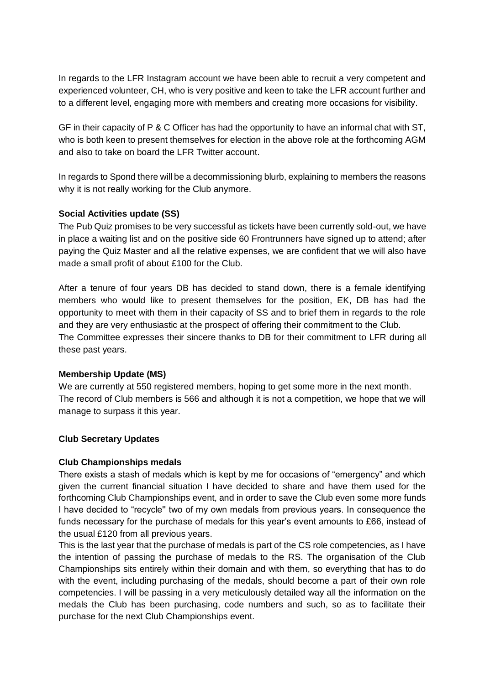In regards to the LFR Instagram account we have been able to recruit a very competent and experienced volunteer, CH, who is very positive and keen to take the LFR account further and to a different level, engaging more with members and creating more occasions for visibility.

GF in their capacity of P & C Officer has had the opportunity to have an informal chat with ST, who is both keen to present themselves for election in the above role at the forthcoming AGM and also to take on board the LFR Twitter account.

In regards to Spond there will be a decommissioning blurb, explaining to members the reasons why it is not really working for the Club anymore.

#### **Social Activities update (SS)**

The Pub Quiz promises to be very successful as tickets have been currently sold-out, we have in place a waiting list and on the positive side 60 Frontrunners have signed up to attend; after paying the Quiz Master and all the relative expenses, we are confident that we will also have made a small profit of about £100 for the Club.

After a tenure of four years DB has decided to stand down, there is a female identifying members who would like to present themselves for the position, EK, DB has had the opportunity to meet with them in their capacity of SS and to brief them in regards to the role and they are very enthusiastic at the prospect of offering their commitment to the Club. The Committee expresses their sincere thanks to DB for their commitment to LFR during all these past years.

#### **Membership Update (MS)**

We are currently at 550 registered members, hoping to get some more in the next month. The record of Club members is 566 and although it is not a competition, we hope that we will manage to surpass it this year.

#### **Club Secretary Updates**

#### **Club Championships medals**

There exists a stash of medals which is kept by me for occasions of "emergency" and which given the current financial situation I have decided to share and have them used for the forthcoming Club Championships event, and in order to save the Club even some more funds I have decided to "recycle'' two of my own medals from previous years. In consequence the funds necessary for the purchase of medals for this year's event amounts to £66, instead of the usual £120 from all previous years.

This is the last year that the purchase of medals is part of the CS role competencies, as I have the intention of passing the purchase of medals to the RS. The organisation of the Club Championships sits entirely within their domain and with them, so everything that has to do with the event, including purchasing of the medals, should become a part of their own role competencies. I will be passing in a very meticulously detailed way all the information on the medals the Club has been purchasing, code numbers and such, so as to facilitate their purchase for the next Club Championships event.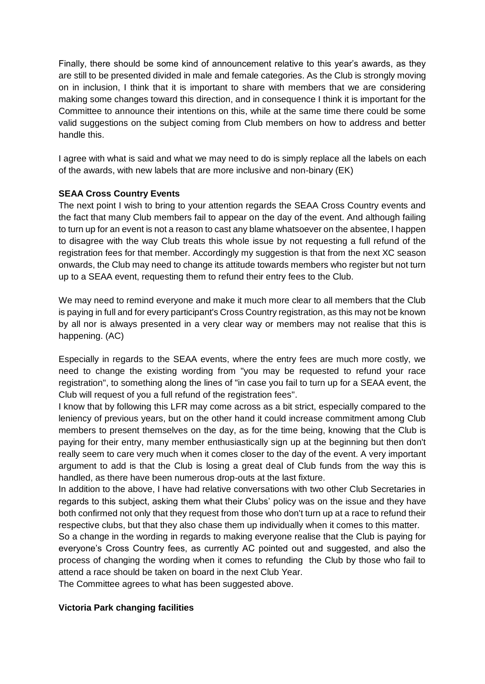Finally, there should be some kind of announcement relative to this year's awards, as they are still to be presented divided in male and female categories. As the Club is strongly moving on in inclusion, I think that it is important to share with members that we are considering making some changes toward this direction, and in consequence I think it is important for the Committee to announce their intentions on this, while at the same time there could be some valid suggestions on the subject coming from Club members on how to address and better handle this.

I agree with what is said and what we may need to do is simply replace all the labels on each of the awards, with new labels that are more inclusive and non-binary (EK)

### **SEAA Cross Country Events**

The next point I wish to bring to your attention regards the SEAA Cross Country events and the fact that many Club members fail to appear on the day of the event. And although failing to turn up for an event is not a reason to cast any blame whatsoever on the absentee, I happen to disagree with the way Club treats this whole issue by not requesting a full refund of the registration fees for that member. Accordingly my suggestion is that from the next XC season onwards, the Club may need to change its attitude towards members who register but not turn up to a SEAA event, requesting them to refund their entry fees to the Club.

We may need to remind everyone and make it much more clear to all members that the Club is paying in full and for every participant's Cross Country registration, as this may not be known by all nor is always presented in a very clear way or members may not realise that this is happening. (AC)

Especially in regards to the SEAA events, where the entry fees are much more costly, we need to change the existing wording from "you may be requested to refund your race registration", to something along the lines of "in case you fail to turn up for a SEAA event, the Club will request of you a full refund of the registration fees''.

I know that by following this LFR may come across as a bit strict, especially compared to the leniency of previous years, but on the other hand it could increase commitment among Club members to present themselves on the day, as for the time being, knowing that the Club is paying for their entry, many member enthusiastically sign up at the beginning but then don't really seem to care very much when it comes closer to the day of the event. A very important argument to add is that the Club is losing a great deal of Club funds from the way this is handled, as there have been numerous drop-outs at the last fixture.

In addition to the above, I have had relative conversations with two other Club Secretaries in regards to this subject, asking them what their Clubs' policy was on the issue and they have both confirmed not only that they request from those who don't turn up at a race to refund their respective clubs, but that they also chase them up individually when it comes to this matter.

So a change in the wording in regards to making everyone realise that the Club is paying for everyone's Cross Country fees, as currently AC pointed out and suggested, and also the process of changing the wording when it comes to refunding the Club by those who fail to attend a race should be taken on board in the next Club Year.

The Committee agrees to what has been suggested above.

### **Victoria Park changing facilities**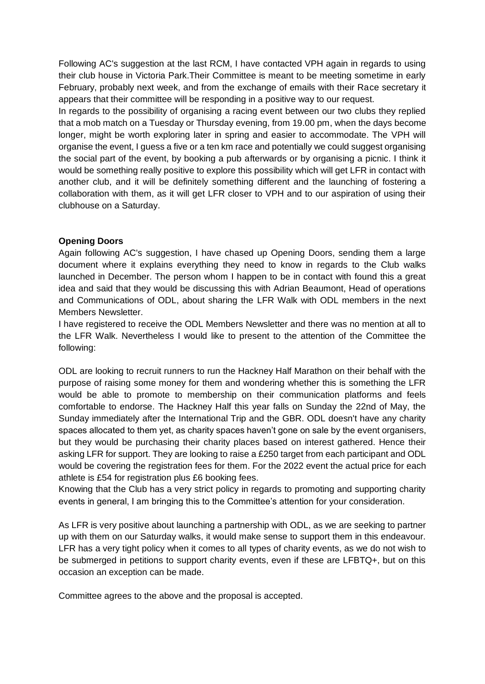Following AC's suggestion at the last RCM, I have contacted VPH again in regards to using their club house in Victoria Park.Their Committee is meant to be meeting sometime in early February, probably next week, and from the exchange of emails with their Race secretary it appears that their committee will be responding in a positive way to our request.

In regards to the possibility of organising a racing event between our two clubs they replied that a mob match on a Tuesday or Thursday evening, from 19.00 pm, when the days become longer, might be worth exploring later in spring and easier to accommodate. The VPH will organise the event, I guess a five or a ten km race and potentially we could suggest organising the social part of the event, by booking a pub afterwards or by organising a picnic. I think it would be something really positive to explore this possibility which will get LFR in contact with another club, and it will be definitely something different and the launching of fostering a collaboration with them, as it will get LFR closer to VPH and to our aspiration of using their clubhouse on a Saturday.

#### **Opening Doors**

Again following AC's suggestion, I have chased up Opening Doors, sending them a large document where it explains everything they need to know in regards to the Club walks launched in December. The person whom I happen to be in contact with found this a great idea and said that they would be discussing this with Adrian Beaumont, Head of operations and Communications of ODL, about sharing the LFR Walk with ODL members in the next Members Newsletter.

I have registered to receive the ODL Members Newsletter and there was no mention at all to the LFR Walk. Nevertheless I would like to present to the attention of the Committee the following:

ODL are looking to recruit runners to run the Hackney Half Marathon on their behalf with the purpose of raising some money for them and wondering whether this is something the LFR would be able to promote to membership on their communication platforms and feels comfortable to endorse. The Hackney Half this year falls on Sunday the 22nd of May, the Sunday immediately after the International Trip and the GBR. ODL doesn't have any charity spaces allocated to them yet, as charity spaces haven't gone on sale by the event organisers, but they would be purchasing their charity places based on interest gathered. Hence their asking LFR for support. They are looking to raise a £250 target from each participant and ODL would be covering the registration fees for them. For the 2022 event the actual price for each athlete is £54 for registration plus £6 booking fees.

Knowing that the Club has a very strict policy in regards to promoting and supporting charity events in general, I am bringing this to the Committee's attention for your consideration.

As LFR is very positive about launching a partnership with ODL, as we are seeking to partner up with them on our Saturday walks, it would make sense to support them in this endeavour. LFR has a very tight policy when it comes to all types of charity events, as we do not wish to be submerged in petitions to support charity events, even if these are LFBTQ+, but on this occasion an exception can be made.

Committee agrees to the above and the proposal is accepted.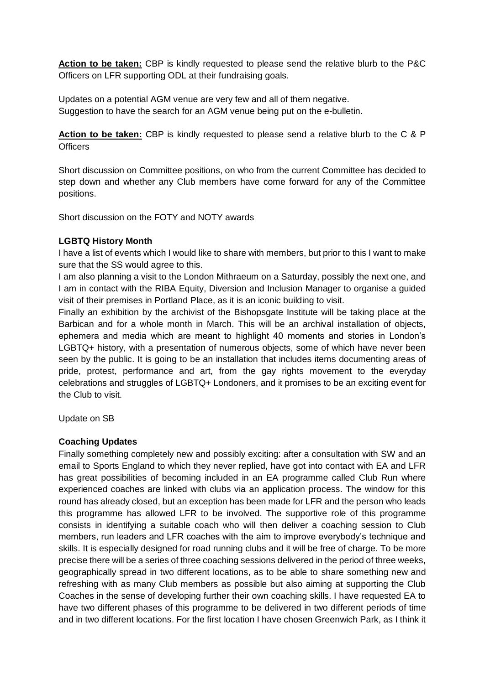**Action to be taken:** CBP is kindly requested to please send the relative blurb to the P&C Officers on LFR supporting ODL at their fundraising goals.

Updates on a potential AGM venue are very few and all of them negative. Suggestion to have the search for an AGM venue being put on the e-bulletin.

**Action to be taken:** CBP is kindly requested to please send a relative blurb to the C & P **Officers** 

Short discussion on Committee positions, on who from the current Committee has decided to step down and whether any Club members have come forward for any of the Committee positions.

Short discussion on the FOTY and NOTY awards

#### **LGBTQ History Month**

I have a list of events which I would like to share with members, but prior to this I want to make sure that the SS would agree to this.

I am also planning a visit to the London Mithraeum on a Saturday, possibly the next one, and I am in contact with the RIBA Equity, Diversion and Inclusion Manager to organise a guided visit of their premises in Portland Place, as it is an iconic building to visit.

Finally an exhibition by the archivist of the Bishopsgate Institute will be taking place at the Barbican and for a whole month in March. This will be an archival installation of objects, ephemera and media which are meant to highlight 40 moments and stories in London's LGBTQ+ history, with a presentation of numerous objects, some of which have never been seen by the public. It is going to be an installation that includes items documenting areas of pride, protest, performance and art, from the gay rights movement to the everyday celebrations and struggles of LGBTQ+ Londoners, and it promises to be an exciting event for the Club to visit.

Update on SB

#### **Coaching Updates**

Finally something completely new and possibly exciting: after a consultation with SW and an email to Sports England to which they never replied, have got into contact with EA and LFR has great possibilities of becoming included in an EA programme called Club Run where experienced coaches are linked with clubs via an application process. The window for this round has already closed, but an exception has been made for LFR and the person who leads this programme has allowed LFR to be involved. The supportive role of this programme consists in identifying a suitable coach who will then deliver a coaching session to Club members, run leaders and LFR coaches with the aim to improve everybody's technique and skills. It is especially designed for road running clubs and it will be free of charge. To be more precise there will be a series of three coaching sessions delivered in the period of three weeks, geographically spread in two different locations, as to be able to share something new and refreshing with as many Club members as possible but also aiming at supporting the Club Coaches in the sense of developing further their own coaching skills. I have requested EA to have two different phases of this programme to be delivered in two different periods of time and in two different locations. For the first location I have chosen Greenwich Park, as I think it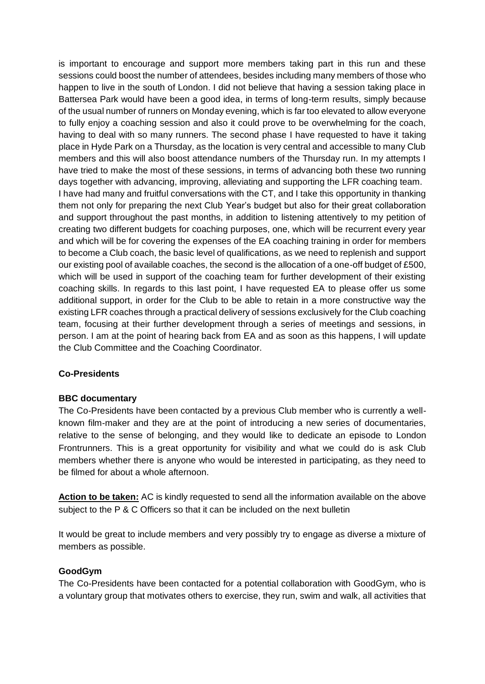is important to encourage and support more members taking part in this run and these sessions could boost the number of attendees, besides including many members of those who happen to live in the south of London. I did not believe that having a session taking place in Battersea Park would have been a good idea, in terms of long-term results, simply because of the usual number of runners on Monday evening, which is far too elevated to allow everyone to fully enjoy a coaching session and also it could prove to be overwhelming for the coach, having to deal with so many runners. The second phase I have requested to have it taking place in Hyde Park on a Thursday, as the location is very central and accessible to many Club members and this will also boost attendance numbers of the Thursday run. In my attempts I have tried to make the most of these sessions, in terms of advancing both these two running days together with advancing, improving, alleviating and supporting the LFR coaching team. I have had many and fruitful conversations with the CT, and I take this opportunity in thanking them not only for preparing the next Club Year's budget but also for their great collaboration and support throughout the past months, in addition to listening attentively to my petition of creating two different budgets for coaching purposes, one, which will be recurrent every year and which will be for covering the expenses of the EA coaching training in order for members to become a Club coach, the basic level of qualifications, as we need to replenish and support our existing pool of available coaches, the second is the allocation of a one-off budget of £500, which will be used in support of the coaching team for further development of their existing coaching skills. In regards to this last point, I have requested EA to please offer us some additional support, in order for the Club to be able to retain in a more constructive way the existing LFR coaches through a practical delivery of sessions exclusively for the Club coaching team, focusing at their further development through a series of meetings and sessions, in person. I am at the point of hearing back from EA and as soon as this happens, I will update the Club Committee and the Coaching Coordinator.

#### **Co-Presidents**

#### **BBC documentary**

The Co-Presidents have been contacted by a previous Club member who is currently a wellknown film-maker and they are at the point of introducing a new series of documentaries, relative to the sense of belonging, and they would like to dedicate an episode to London Frontrunners. This is a great opportunity for visibility and what we could do is ask Club members whether there is anyone who would be interested in participating, as they need to be filmed for about a whole afternoon.

**Action to be taken:** AC is kindly requested to send all the information available on the above subject to the P & C Officers so that it can be included on the next bulletin

It would be great to include members and very possibly try to engage as diverse a mixture of members as possible.

#### **GoodGym**

The Co-Presidents have been contacted for a potential collaboration with GoodGym, who is a voluntary group that motivates others to exercise, they run, swim and walk, all activities that